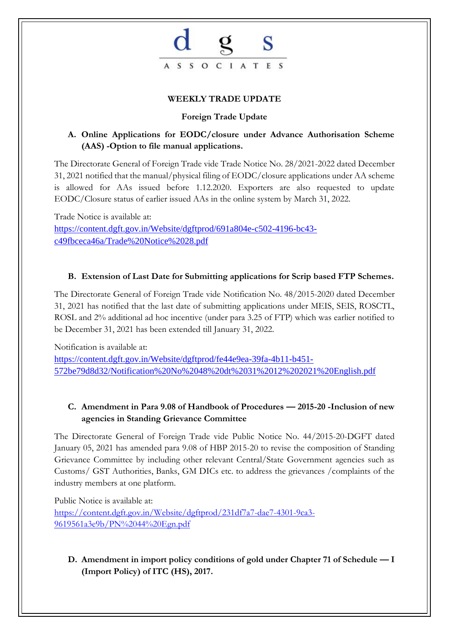

#### **WEEKLY TRADE UPDATE**

#### **Foreign Trade Update**

### **A. Online Applications for EODC/closure under Advance Authorisation Scheme (AAS) -Option to file manual applications.**

The Directorate General of Foreign Trade vide Trade Notice No. 28/2021-2022 dated December 31, 2021 notified that the manual/physical filing of EODC/closure applications under AA scheme is allowed for AAs issued before 1.12.2020. Exporters are also requested to update EODC/Closure status of earlier issued AAs in the online system by March 31, 2022.

Trade Notice is available at: [https://content.dgft.gov.in/Website/dgftprod/691a804e-c502-4196-bc43](https://content.dgft.gov.in/Website/dgftprod/691a804e-c502-4196-bc43-c49fbceca46a/Trade%20Notice%2028.pdf) [c49fbceca46a/Trade%20Notice%2028.pdf](https://content.dgft.gov.in/Website/dgftprod/691a804e-c502-4196-bc43-c49fbceca46a/Trade%20Notice%2028.pdf)

#### **B. Extension of Last Date for Submitting applications for Scrip based FTP Schemes.**

The Directorate General of Foreign Trade vide Notification No. 48/2015-2020 dated December 31, 2021 has notified that the last date of submitting applications under MEIS, SEIS, ROSCTL, ROSL and 2% additional ad hoc incentive (under para 3.25 of FTP) which was earlier notified to be December 31, 2021 has been extended till January 31, 2022.

Notification is available at:

[https://content.dgft.gov.in/Website/dgftprod/fe44e9ea-39fa-4b11-b451-](https://content.dgft.gov.in/Website/dgftprod/fe44e9ea-39fa-4b11-b451-572be79d8d32/Notification%20No%2048%20dt%2031%2012%202021%20English.pdf) [572be79d8d32/Notification%20No%2048%20dt%2031%2012%202021%20English.pdf](https://content.dgft.gov.in/Website/dgftprod/fe44e9ea-39fa-4b11-b451-572be79d8d32/Notification%20No%2048%20dt%2031%2012%202021%20English.pdf)

## **C. Amendment in Para 9.08 of Handbook of Procedures — 2015-20 -Inclusion of new agencies in Standing Grievance Committee**

The Directorate General of Foreign Trade vide Public Notice No. 44/2015-20-DGFT dated January 05, 2021 has amended para 9.08 of HBP 2015-20 to revise the composition of Standing Grievance Committee by including other relevant Central/State Government agencies such as Customs/ GST Authorities, Banks, GM DICs etc. to address the grievances /complaints of the industry members at one platform.

Public Notice is available at: [https://content.dgft.gov.in/Website/dgftprod/231df7a7-dae7-4301-9ca3-](https://content.dgft.gov.in/Website/dgftprod/231df7a7-dae7-4301-9ca3-9619561a3e9b/PN%2044%20Egn.pdf) [9619561a3e9b/PN%2044%20Egn.pdf](https://content.dgft.gov.in/Website/dgftprod/231df7a7-dae7-4301-9ca3-9619561a3e9b/PN%2044%20Egn.pdf)

## **D. Amendment in import policy conditions of gold under Chapter 71 of Schedule — I (Import Policy) of ITC (HS), 2017.**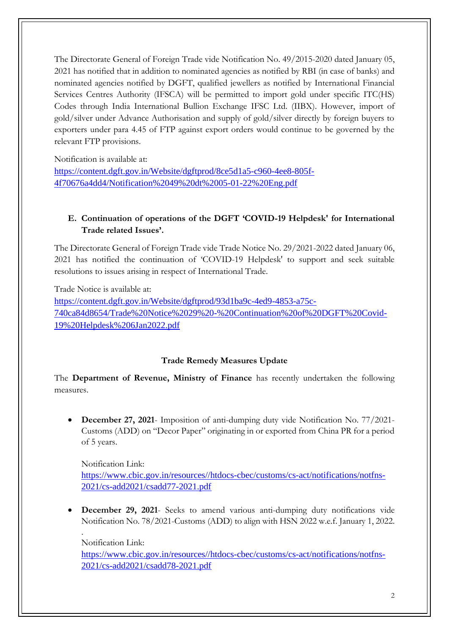The Directorate General of Foreign Trade vide Notification No. 49/2015-2020 dated January 05, 2021 has notified that in addition to nominated agencies as notified by RBI (in case of banks) and nominated agencies notified by DGFT, qualified jewellers as notified by International Financial Services Centres Authority (IFSCA) will be permitted to import gold under specific ITC(HS) Codes through India International Bullion Exchange IFSC Ltd. (IIBX). However, import of gold/silver under Advance Authorisation and supply of gold/silver directly by foreign buyers to exporters under para 4.45 of FTP against export orders would continue to be governed by the relevant FTP provisions.

Notification is available at:

[https://content.dgft.gov.in/Website/dgftprod/8ce5d1a5-c960-4ee8-805f-](https://content.dgft.gov.in/Website/dgftprod/8ce5d1a5-c960-4ee8-805f-4f70676a4dd4/Notification%2049%20dt%2005-01-22%20Eng.pdf)[4f70676a4dd4/Notification%2049%20dt%2005-01-22%20Eng.pdf](https://content.dgft.gov.in/Website/dgftprod/8ce5d1a5-c960-4ee8-805f-4f70676a4dd4/Notification%2049%20dt%2005-01-22%20Eng.pdf)

# **E. Continuation of operations of the DGFT 'COVID-19 Helpdesk' for International Trade related Issues'.**

The Directorate General of Foreign Trade vide Trade Notice No. 29/2021-2022 dated January 06, 2021 has notified the continuation of 'COVID-19 Helpdesk' to support and seek suitable resolutions to issues arising in respect of International Trade.

Trade Notice is available at: [https://content.dgft.gov.in/Website/dgftprod/93d1ba9c-4ed9-4853-a75c-](https://content.dgft.gov.in/Website/dgftprod/93d1ba9c-4ed9-4853-a75c-740ca84d8654/Trade%20Notice%2029%20-%20Continuation%20of%20DGFT%20Covid-19%20Helpdesk%206Jan2022.pdf)[740ca84d8654/Trade%20Notice%2029%20-%20Continuation%20of%20DGFT%20Covid-](https://content.dgft.gov.in/Website/dgftprod/93d1ba9c-4ed9-4853-a75c-740ca84d8654/Trade%20Notice%2029%20-%20Continuation%20of%20DGFT%20Covid-19%20Helpdesk%206Jan2022.pdf)[19%20Helpdesk%206Jan2022.pdf](https://content.dgft.gov.in/Website/dgftprod/93d1ba9c-4ed9-4853-a75c-740ca84d8654/Trade%20Notice%2029%20-%20Continuation%20of%20DGFT%20Covid-19%20Helpdesk%206Jan2022.pdf)

## **Trade Remedy Measures Update**

The **Department of Revenue, Ministry of Finance** has recently undertaken the following measures.

• **December 27, 2021**- Imposition of anti-dumping duty vide Notification No. 77/2021- Customs (ADD) on "Decor Paper" originating in or exported from China PR for a period of 5 years.

Notification Link: [https://www.cbic.gov.in/resources//htdocs-cbec/customs/cs-act/notifications/notfns-](https://www.cbic.gov.in/resources/htdocs-cbec/customs/cs-act/notifications/notfns-2021/cs-add2021/csadd77-2021.pdf)[2021/cs-add2021/csadd77-2021.pdf](https://www.cbic.gov.in/resources/htdocs-cbec/customs/cs-act/notifications/notfns-2021/cs-add2021/csadd77-2021.pdf)

• **December 29, 2021**- Seeks to amend various anti-dumping duty notifications vide Notification No. 78/2021-Customs (ADD) to align with HSN 2022 w.e.f. January 1, 2022.

Notification Link:

.

[https://www.cbic.gov.in/resources//htdocs-cbec/customs/cs-act/notifications/notfns-](https://www.cbic.gov.in/resources/htdocs-cbec/customs/cs-act/notifications/notfns-2021/cs-add2021/csadd78-2021.pdf)[2021/cs-add2021/csadd78-2021.pdf](https://www.cbic.gov.in/resources/htdocs-cbec/customs/cs-act/notifications/notfns-2021/cs-add2021/csadd78-2021.pdf)